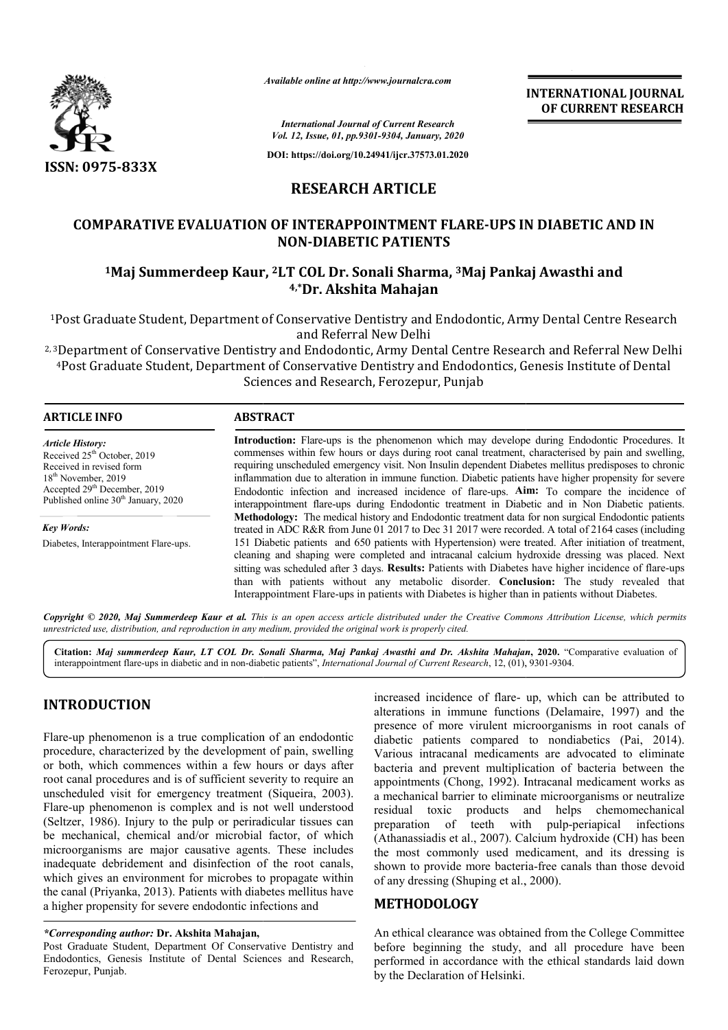

*Available online at http://www.journalcra.com*

**INTERNATIONAL JOURNAL OF CURRENT RESEARCH**

*International Journal of Current Research Vol. 12, Issue, 01, pp.9301-9304, January, 2020*

**DOI: https://doi.org/10.24941/ijcr.37573.01.2020**

# **RESEARCH ARTICLE**

## **COMPARATIVE EVALUATION OF INTERAPPOINTMENT FLARE FLARE-UPS IN DIABETIC AND IN UPS NON-DIABETIC PATIENTS**

# <sup>1</sup>Maj Summerdeep Kaur, <sup>2</sup>LT COL Dr. Sonali Sharma, <sup>3</sup>Maj Pankaj Awasthi and **4,\*Dr. Akshita Mahajan**

<sup>1</sup>Post Graduate Student, Department of Conservative Dentistry and Endodontic, Army Dental Centre Research <sup>1</sup>Post Graduate Student, Department of Conservative Dentistry and Endodontic, Army Dental Centre Research<br>and Referral New Delhi<br><sup>2, 3</sup>Department of Conservative Dentistry and Endodontic, Army Dental Centre Research and R and Referral New Delhi

4Post Graduate Student, Department of Conservative Dentistry and Endodontics, Genesis Institute of Dental Sciences and Research, Ferozepur, Punjab

| <b>ARTICLE INFO</b>                                                                                                                                                                                          | <b>ABSTRACT</b>                                                                                                                                                                                                                                                                                                                                                                                                                                                                                                                                                                                                                   |  |  |  |
|--------------------------------------------------------------------------------------------------------------------------------------------------------------------------------------------------------------|-----------------------------------------------------------------------------------------------------------------------------------------------------------------------------------------------------------------------------------------------------------------------------------------------------------------------------------------------------------------------------------------------------------------------------------------------------------------------------------------------------------------------------------------------------------------------------------------------------------------------------------|--|--|--|
| <b>Article History:</b><br>Received 25 <sup>th</sup> October, 2019<br>Received in revised form<br>$18th$ November, 2019<br>Accepted $29th$ December, 2019<br>Published online 30 <sup>th</sup> January, 2020 | Introduction: Flare-ups is the phenomenon which may develope during Endodontic Procedures. It<br>commenses within few hours or days during root canal treatment, characterised by pain and swelling,<br>requiring unscheduled emergency visit. Non Insulin dependent Diabetes mellitus predisposes to chronic<br>inflammation due to alteration in immune function. Diabetic patients have higher propensity for severe<br>Endodontic infection and increased incidence of flare-ups. <b>Aim:</b> To compare the incidence of<br>interappointment flare-ups during Endodontic treatment in Diabetic and in Non Diabetic patients. |  |  |  |
| <b>Key Words:</b>                                                                                                                                                                                            | <b>Methodology:</b> The medical history and Endodontic treatment data for non surgical Endodontic patients<br>treated in ADC R&R from June 01 2017 to Dec 31 2017 were recorded. A total of 2164 cases (including                                                                                                                                                                                                                                                                                                                                                                                                                 |  |  |  |
| Diabetes, Interappointment Flare-ups.                                                                                                                                                                        | 151 Diabetic patients and 650 patients with Hypertension) were treated. After initiation of treatment,<br>cleaning and shaping were completed and intracanal calcium hydroxide dressing was placed. Next<br>sitting was scheduled after 3 days. Results: Patients with Diabetes have higher incidence of flare-ups<br>than with patients without any metabolic disorder. Conclusion: The study revealed that<br>Interappointment Flare-ups in patients with Diabetes is higher than in patients without Diabetes.                                                                                                                 |  |  |  |

Copyright © 2020, Maj Summerdeep Kaur et al. This is an open access article distributed under the Creative Commons Attribution License, which permits *unrestricted use, distribution, and reproduction in any medium, provided the original work is properly cited.*

Citation: Maj summerdeep Kaur, LT COL Dr. Sonali Sharma, Maj Pankaj Awasthi and Dr. Akshita Mahajan, 2020. "Comparative evaluation of interappointment flare-ups in diabetic and in non-diabetic patients", *International Journal of Current Research*, 12, (01), 9301-9304.

# **INTRODUCTION**

Flare-up phenomenon is a true complication of an endodontic procedure, characterized by the development of pain, swelling or both, which commences within a few hours root canal procedures and is of sufficient severity to require an unscheduled visit for emergency treatment (Siqueira, 2003). Flare-up phenomenon is complex and is not well understood Flare-up phenomenon is complex and is not well understood<br>(Seltzer, 1986). Injury to the pulp or periradicular tissues can be mechanical, chemical and/or microbial factor, of which microorganisms are major causative agents. These includes inadequate debridement and disinfection of the root canals, which gives an environment for microbes to propagate within the canal (Priyanka, 2013). Patients with diabetes mellitus have a higher propensity for severe endodontic infections and up phenomenon is a true complication of an endodontic<br>dure, characterized by the development of pain, swelling<br>th, which commences within a few hours or days after

## *\*Corresponding author:* **Dr. Akshita Mahajan,**

Post Graduate Student, Department Of Conservative Dentistry and Endodontics, Genesis Institute of Dental Sciences and Research, Ferozepur, Punjab.

increased incidence of flare-up, which can be attributed to alterations in immune functions (Delamaire, 1997) and the presence of more virulent microorganisms in root canals of presence of more virulent microorganisms in root canals of diabetic patients compared to nondiabetics (Pai, 2014). Various intracanal medicaments are advocated to eliminate bacteria and prevent multiplication of bacteria between the appointments (Chong, 1992). Intracanal medicament works as a mechanical barrier to eliminate microorganisms or neutralize residual toxic products and helps chemomechanical bacteria and prevent multiplication of bacteria between the appointments (Chong, 1992). Intracanal medicament works as a mechanical barrier to eliminate microorganisms or neutralize residual toxic products and helps chemom (Athanassiadis et al., 2007). Calcium hydroxide (CH) has been the most commonly used medicament, and its dressing is the most commonly used medicament, and its dressing is shown to provide more bacteria-free canals than those devoid of any dressing (Shuping et al., 2000). **EXEMITIONAL JOURNAL FORT CONTRAL FOR ALL CONTRAL FOR ALL CONTREMENT RESEARCH FORE CONTREMENT RESEARCH and Several Procedures. It and Several Memorial of Dental is Institute of Dental and Several by pain and swelling melli** 

## **METHODOLOGY**

An ethical clearance was obtained from the College Committee before beginning the study, and all procedure have been performed in accordance with the ethical standards laid down by the Declaration of Helsinki.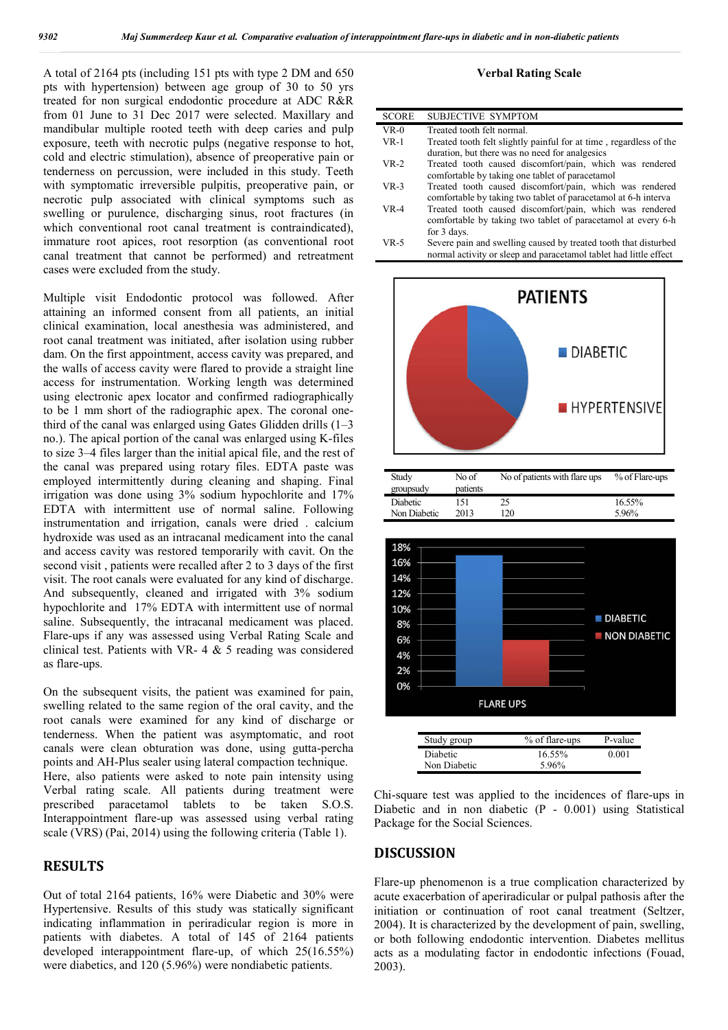A total of 2164 pts (including 151 pts with type 2 DM and 650 pts with hypertension) between age group of 30 to 50 yrs treated for non surgical endodontic procedure at ADC R&R from 01 June to 31 Dec 2017 were selected. Maxillary and mandibular multiple rooted teeth with deep caries and pulp exposure, teeth with necrotic pulps (negative response to hot, cold and electric stimulation), absence of preoperative pain or tenderness on percussion, were included in this study. Teeth with symptomatic irreversible pulpitis, preoperative pain, or necrotic pulp associated with clinical symptoms such as swelling or purulence, discharging sinus, root fractures (in which conventional root canal treatment is contraindicated), immature root apices, root resorption (as conventional root canal treatment that cannot be performed) and retreatment cases were excluded from the study.

Multiple visit Endodontic protocol was followed. After attaining an informed consent from all patients, an initial clinical examination, local anesthesia was administered, and root canal treatment was initiated, after isolation using rubber dam. On the first appointment, access cavity was prepared, and the walls of access cavity were flared to provide a straight line access for instrumentation. Working length was determined using electronic apex locator and confirmed radiographically to be 1 mm short of the radiographic apex. The coronal onethird of the canal was enlarged using Gates Glidden drills  $(1-3)$ no.). The apical portion of the canal was enlarged using K-files to size 3–4 files larger than the initial apical file, and the rest of the canal was prepared using rotary files. EDTA paste was employed intermittently during cleaning and shaping. Final irrigation was done using 3% sodium hypochlorite and 17% EDTA with intermittent use of normal saline. Following instrumentation and irrigation, canals were dried . calcium hydroxide was used as an intracanal medicament into the canal and access cavity was restored temporarily with cavit. On the second visit , patients were recalled after 2 to 3 days of the first visit. The root canals were evaluated for any kind of discharge. And subsequently, cleaned and irrigated with 3% sodium hypochlorite and 17% EDTA with intermittent use of normal saline. Subsequently, the intracanal medicament was placed. Flare-ups if any was assessed using Verbal Rating Scale and clinical test. Patients with VR- 4 & 5 reading was considered as flare-ups.

On the subsequent visits, the patient was examined for pain, swelling related to the same region of the oral cavity, and the root canals were examined for any kind of discharge or tenderness. When the patient was asymptomatic, and root canals were clean obturation was done, using gutta-percha points and AH-Plus sealer using lateral compaction technique. Here, also patients were asked to note pain intensity using Verbal rating scale. All patients during treatment were prescribed paracetamol tablets to be taken S.O.S. Interappointment flare-up was assessed using verbal rating scale (VRS) (Pai, 2014) using the following criteria (Table 1).

## **RESULTS**

Out of total 2164 patients, 16% were Diabetic and 30% were Hypertensive. Results of this study was statically significant indicating inflammation in periradicular region is more in patients with diabetes. A total of 145 of 2164 patients developed interappointment flare-up, of which 25(16.55%) were diabetics, and 120 (5.96%) were nondiabetic patients.

#### **Verbal Rating Scale**

| <b>SCORE</b> | SUBJECTIVE SYMPTOM                                                                                                                      |
|--------------|-----------------------------------------------------------------------------------------------------------------------------------------|
| $VR-0$       | Treated tooth felt normal.                                                                                                              |
| $VR-1$       | Treated tooth felt slightly painful for at time, regardless of the                                                                      |
|              | duration, but there was no need for analgesics                                                                                          |
| $VR-2$       | Treated tooth caused discomfort/pain, which was rendered<br>comfortable by taking one tablet of paracetamol                             |
| $VR-3$       | Treated tooth caused discomfort/pain, which was rendered<br>comfortable by taking two tablet of paracetamol at 6-h interva              |
| $VR-4$       | Treated tooth caused discomfort/pain, which was rendered<br>comfortable by taking two tablet of paracetamol at every 6-h<br>for 3 days. |
| VR-5         | Severe pain and swelling caused by treated tooth that disturbed                                                                         |

normal activity or sleep and paracetamol tablet had little effect



| Study        | No of    | No of patients with flare ups | % of Flare-ups |
|--------------|----------|-------------------------------|----------------|
| groupsudy    | patients |                               |                |
| Diabetic     | 151      | 25                            | 16.55%         |
| Non Diabetic | 2013     | 120                           | 5.96%          |



Chi-square test was applied to the incidences of flare-ups in Diabetic and in non diabetic (P - 0.001) using Statistical Package for the Social Sciences.

## **DISCUSSION**

Flare-up phenomenon is a true complication characterized by acute exacerbation of aperiradicular or pulpal pathosis after the initiation or continuation of root canal treatment (Seltzer, 2004). It is characterized by the development of pain, swelling, or both following endodontic intervention. Diabetes mellitus acts as a modulating factor in endodontic infections (Fouad, 2003).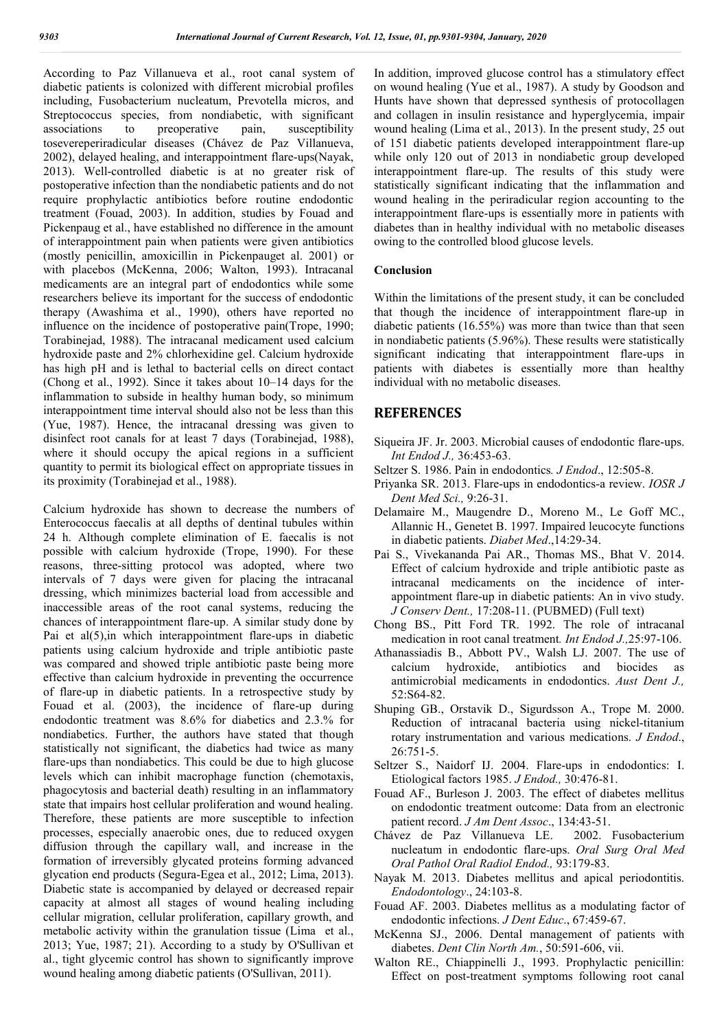According to Paz Villanueva et al., root canal system of diabetic patients is colonized with different microbial profiles including, Fusobacterium nucleatum, Prevotella micros, and Streptococcus species, from nondiabetic, with significant associations to preoperative pain, susceptibility tosevereperiradicular diseases (Chávez de Paz Villanueva, 2002), delayed healing, and interappointment flare-ups(Nayak, 2013). Well-controlled diabetic is at no greater risk of postoperative infection than the nondiabetic patients and do not require prophylactic antibiotics before routine endodontic treatment (Fouad, 2003). In addition, studies by Fouad and Pickenpaug et al., have established no difference in the amount of interappointment pain when patients were given antibiotics (mostly penicillin, amoxicillin in Pickenpauget al. 2001) or with placebos (McKenna, 2006; Walton, 1993). Intracanal medicaments are an integral part of endodontics while some researchers believe its important for the success of endodontic therapy (Awashima et al., 1990), others have reported no influence on the incidence of postoperative pain(Trope, 1990; Torabinejad, 1988). The intracanal medicament used calcium hydroxide paste and 2% chlorhexidine gel. Calcium hydroxide has high pH and is lethal to bacterial cells on direct contact (Chong et al., 1992). Since it takes about 10–14 days for the inflammation to subside in healthy human body, so minimum interappointment time interval should also not be less than this (Yue, 1987). Hence, the intracanal dressing was given to disinfect root canals for at least 7 days (Torabinejad, 1988), where it should occupy the apical regions in a sufficient quantity to permit its biological effect on appropriate tissues in its proximity (Torabinejad et al., 1988).

Calcium hydroxide has shown to decrease the numbers of Enterococcus faecalis at all depths of dentinal tubules within 24 h. Although complete elimination of E. faecalis is not possible with calcium hydroxide (Trope, 1990). For these reasons, three-sitting protocol was adopted, where two intervals of 7 days were given for placing the intracanal dressing, which minimizes bacterial load from accessible and inaccessible areas of the root canal systems, reducing the chances of interappointment flare-up. A similar study done by Pai et al(5),in which interappointment flare-ups in diabetic patients using calcium hydroxide and triple antibiotic paste was compared and showed triple antibiotic paste being more effective than calcium hydroxide in preventing the occurrence of flare-up in diabetic patients. In a retrospective study by Fouad et al. (2003), the incidence of flare-up during endodontic treatment was 8.6% for diabetics and 2.3.% for nondiabetics. Further, the authors have stated that though statistically not significant, the diabetics had twice as many flare-ups than nondiabetics. This could be due to high glucose levels which can inhibit macrophage function (chemotaxis, phagocytosis and bacterial death) resulting in an inflammatory state that impairs host cellular proliferation and wound healing. Therefore, these patients are more susceptible to infection processes, especially anaerobic ones, due to reduced oxygen diffusion through the capillary wall, and increase in the formation of irreversibly glycated proteins forming advanced glycation end products (Segura-Egea et al., 2012; Lima, 2013). Diabetic state is accompanied by delayed or decreased repair capacity at almost all stages of wound healing including cellular migration, cellular proliferation, capillary growth, and metabolic activity within the granulation tissue (Lima et al., 2013; Yue, 1987; 21). According to a study by O'Sullivan et al., tight glycemic control has shown to significantly improve wound healing among diabetic patients (O'Sullivan, 2011).

In addition, improved glucose control has a stimulatory effect on wound healing (Yue et al., 1987). A study by Goodson and Hunts have shown that depressed synthesis of protocollagen and collagen in insulin resistance and hyperglycemia, impair wound healing (Lima et al., 2013). In the present study, 25 out of 151 diabetic patients developed interappointment flare-up while only 120 out of 2013 in nondiabetic group developed interappointment flare-up. The results of this study were statistically significant indicating that the inflammation and wound healing in the periradicular region accounting to the interappointment flare-ups is essentially more in patients with diabetes than in healthy individual with no metabolic diseases owing to the controlled blood glucose levels.

#### **Conclusion**

Within the limitations of the present study, it can be concluded that though the incidence of interappointment flare-up in diabetic patients (16.55%) was more than twice than that seen in nondiabetic patients (5.96%). These results were statistically significant indicating that interappointment flare-ups in patients with diabetes is essentially more than healthy individual with no metabolic diseases.

### **REFERENCES**

- Siqueira JF. Jr. 2003. Microbial causes of endodontic flare-ups. *Int Endod J.,* 36:453-63.
- Seltzer S. 1986. Pain in endodontics*. J Endod*., 12:505-8.
- Priyanka SR. 2013. Flare-ups in endodontics-a review. *IOSR J Dent Med Sci.,* 9:26-31.
- Delamaire M., Maugendre D., Moreno M., Le Goff MC., Allannic H., Genetet B. 1997. Impaired leucocyte functions in diabetic patients. *Diabet Med*.,14:29-34.
- Pai S., Vivekananda Pai AR., Thomas MS., Bhat V. 2014. Effect of calcium hydroxide and triple antibiotic paste as intracanal medicaments on the incidence of interappointment flare-up in diabetic patients: An in vivo study. *J Conserv Dent.,* 17:208-11. (PUBMED) (Full text)
- Chong BS., Pitt Ford TR. 1992. The role of intracanal medication in root canal treatment*. Int Endod J.,*25:97-106.
- Athanassiadis B., Abbott PV., Walsh LJ. 2007. The use of calcium hydroxide, antibiotics and biocides as antimicrobial medicaments in endodontics. *Aust Dent J.,* 52:S64-82.
- Shuping GB., Orstavik D., Sigurdsson A., Trope M. 2000. Reduction of intracanal bacteria using nickel-titanium rotary instrumentation and various medications. *J Endod*., 26:751-5.
- Seltzer S., Naidorf IJ. 2004. Flare-ups in endodontics: I. Etiological factors 1985. *J Endod.,* 30:476-81.
- Fouad AF., Burleson J. 2003. The effect of diabetes mellitus on endodontic treatment outcome: Data from an electronic patient record. *J Am Dent Assoc*., 134:43-51.
- Chávez de Paz Villanueva LE. 2002. Fusobacterium nucleatum in endodontic flare-ups. *Oral Surg Oral Med Oral Pathol Oral Radiol Endod.,* 93:179-83.
- Nayak M. 2013. Diabetes mellitus and apical periodontitis. *Endodontology*., 24:103-8.
- Fouad AF. 2003. Diabetes mellitus as a modulating factor of endodontic infections. *J Dent Educ*., 67:459-67.
- McKenna SJ., 2006. Dental management of patients with diabetes. *Dent Clin North Am.*, 50:591-606, vii.
- Walton RE., Chiappinelli J., 1993. Prophylactic penicillin: Effect on post-treatment symptoms following root canal